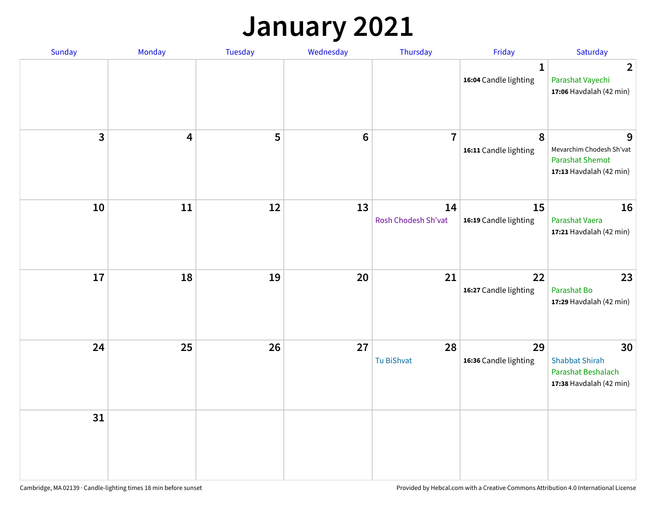### **January 2021**

| Sunday                  | Monday                  | Tuesday | Wednesday | Thursday                  | Friday                                | Saturday                                                                           |
|-------------------------|-------------------------|---------|-----------|---------------------------|---------------------------------------|------------------------------------------------------------------------------------|
|                         |                         |         |           |                           | $\mathbf{1}$<br>16:04 Candle lighting | $\overline{2}$<br>Parashat Vayechi<br>17:06 Havdalah (42 min)                      |
| $\overline{\mathbf{3}}$ | $\overline{\mathbf{4}}$ | 5       | $\bf 6$   | $\overline{7}$            | 8<br>16:11 Candle lighting            | 9<br>Mevarchim Chodesh Sh'vat<br><b>Parashat Shemot</b><br>17:13 Havdalah (42 min) |
| 10                      | 11                      | 12      | 13        | 14<br>Rosh Chodesh Sh'vat | 15<br>16:19 Candle lighting           | 16<br>Parashat Vaera<br>17:21 Havdalah (42 min)                                    |
| 17                      | 18                      | 19      | 20        | 21                        | 22<br>16:27 Candle lighting           | 23<br>Parashat Bo<br>17:29 Havdalah (42 min)                                       |
| 24                      | 25                      | 26      | 27        | 28<br>Tu BiShvat          | 29<br>16:36 Candle lighting           | 30<br><b>Shabbat Shirah</b><br>Parashat Beshalach<br>17:38 Havdalah (42 min)       |
| 31                      |                         |         |           |                           |                                       |                                                                                    |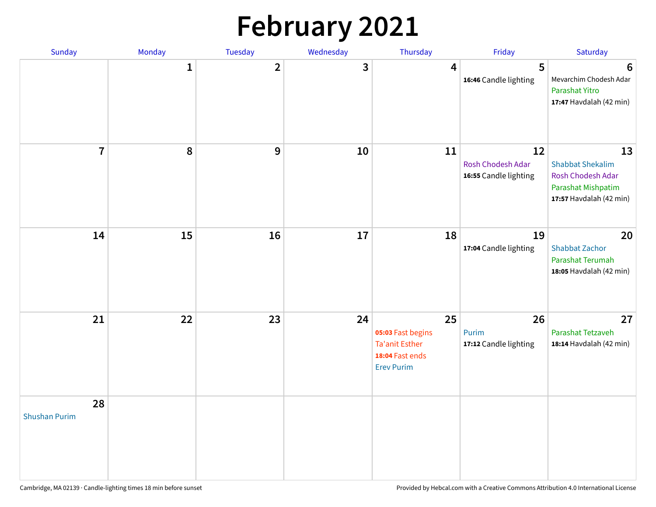# **February 2021**

| <b>Sunday</b>              | Monday       | Tuesday        | Wednesday | Thursday                                                                                 | Friday                                           | Saturday                                                                                            |
|----------------------------|--------------|----------------|-----------|------------------------------------------------------------------------------------------|--------------------------------------------------|-----------------------------------------------------------------------------------------------------|
|                            | $\mathbf{1}$ | $\overline{2}$ | 3         | 4                                                                                        | 5<br>16:46 Candle lighting                       | 6<br>Mevarchim Chodesh Adar<br>Parashat Yitro<br>17:47 Havdalah (42 min)                            |
| $\overline{7}$             | 8            | 9              | 10        | 11                                                                                       | 12<br>Rosh Chodesh Adar<br>16:55 Candle lighting | 13<br><b>Shabbat Shekalim</b><br>Rosh Chodesh Adar<br>Parashat Mishpatim<br>17:57 Havdalah (42 min) |
| 14                         | 15           | 16             | 17        | 18                                                                                       | 19<br>17:04 Candle lighting                      | 20<br><b>Shabbat Zachor</b><br>Parashat Terumah<br>18:05 Havdalah (42 min)                          |
| 21                         | 22           | 23             | 24        | 25<br>05:03 Fast begins<br><b>Ta'anit Esther</b><br>18:04 Fast ends<br><b>Erev Purim</b> | 26<br>Purim<br>17:12 Candle lighting             | 27<br>Parashat Tetzaveh<br>18:14 Havdalah (42 min)                                                  |
| 28<br><b>Shushan Purim</b> |              |                |           |                                                                                          |                                                  |                                                                                                     |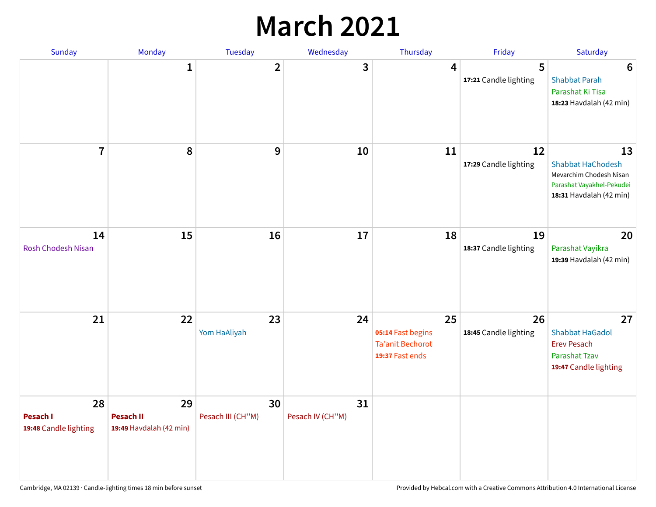### **March 2021**

| Sunday                                  | Monday                                            | Tuesday                 | Wednesday              | Thursday                                                              | Friday                      | Saturday                                                                                                          |
|-----------------------------------------|---------------------------------------------------|-------------------------|------------------------|-----------------------------------------------------------------------|-----------------------------|-------------------------------------------------------------------------------------------------------------------|
|                                         | 1                                                 | $\overline{\mathbf{2}}$ | 3                      | 4                                                                     | 5<br>17:21 Candle lighting  | $6\phantom{1}6$<br><b>Shabbat Parah</b><br>Parashat Ki Tisa<br>18:23 Havdalah (42 min)                            |
| $\overline{7}$                          | 8                                                 | 9                       | 10                     | 11                                                                    | 12<br>17:29 Candle lighting | 13<br><b>Shabbat HaChodesh</b><br>Mevarchim Chodesh Nisan<br>Parashat Vayakhel-Pekudei<br>18:31 Havdalah (42 min) |
| 14<br><b>Rosh Chodesh Nisan</b>         | 15                                                | 16                      | 17                     | 18                                                                    | 19<br>18:37 Candle lighting | 20<br>Parashat Vayikra<br>19:39 Havdalah (42 min)                                                                 |
| 21                                      | 22                                                | 23<br>Yom HaAliyah      | 24                     | 25<br>05:14 Fast begins<br><b>Ta'anit Bechorot</b><br>19:37 Fast ends | 26<br>18:45 Candle lighting | 27<br><b>Shabbat HaGadol</b><br><b>Erev Pesach</b><br>Parashat Tzav<br>19:47 Candle lighting                      |
| 28<br>Pesach I<br>19:48 Candle lighting | 29<br><b>Pesach II</b><br>19:49 Havdalah (42 min) | 30<br>Pesach III (CH"M) | 31<br>Pesach IV (CH"M) |                                                                       |                             |                                                                                                                   |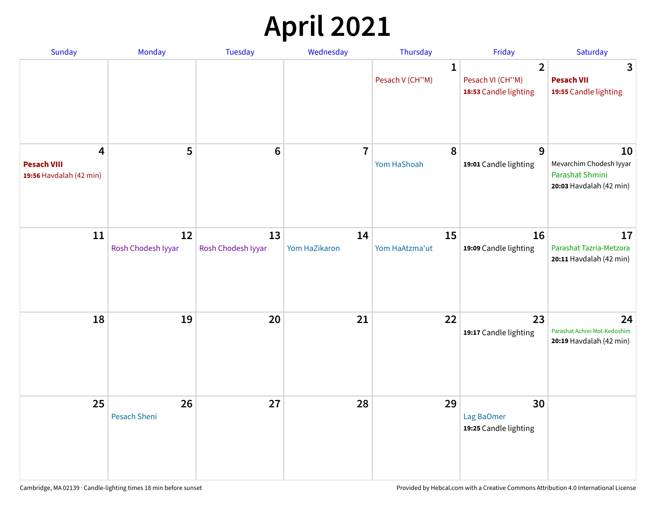# **April 2021**

| Sunday                                             | Monday                    | <b>Tuesday</b>           | Wednesday           | Thursday                        | Friday                                                      | Saturday                                                                    |
|----------------------------------------------------|---------------------------|--------------------------|---------------------|---------------------------------|-------------------------------------------------------------|-----------------------------------------------------------------------------|
|                                                    |                           |                          |                     | $\mathbf{1}$<br>Pesach V (CH"M) | $\overline{2}$<br>Pesach VI (CH"M)<br>18:53 Candle lighting | 3<br><b>Pesach VII</b><br>19:55 Candle lighting                             |
| 4<br><b>Pesach VIII</b><br>19:56 Havdalah (42 min) | 5                         | $6\phantom{1}6$          | $\overline{7}$      | 8<br>Yom HaShoah                | 9<br>19:01 Candle lighting                                  | 10<br>Mevarchim Chodesh Iyyar<br>Parashat Shmini<br>20:03 Havdalah (42 min) |
| 11                                                 | 12<br>Rosh Chodesh Iyyar  | 13<br>Rosh Chodesh Iyyar | 14<br>Yom HaZikaron | 15<br>Yom HaAtzma'ut            | 16<br>19:09 Candle lighting                                 | 17<br>Parashat Tazria-Metzora<br>20:11 Havdalah (42 min)                    |
| 18                                                 | 19                        | 20                       | 21                  | 22                              | 23<br>19:17 Candle lighting                                 | 24<br>Parashat Achrei Mot-Kedoshim<br>20:19 Havdalah (42 min)               |
| 25                                                 | 26<br><b>Pesach Sheni</b> | 27                       | 28                  | 29                              | 30<br>Lag BaOmer<br>19:25 Candle lighting                   |                                                                             |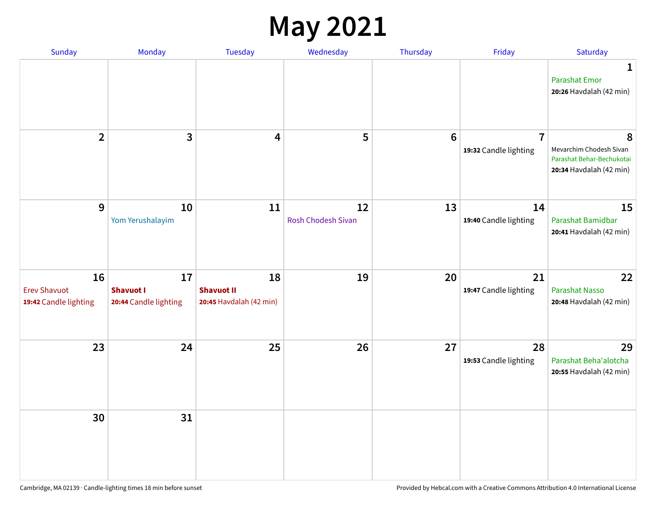#### **May 2021**

| <b>Sunday</b>                                      | Monday                                          | Tuesday                                            | Wednesday                | Thursday        | Friday                                  | Saturday                                                                             |
|----------------------------------------------------|-------------------------------------------------|----------------------------------------------------|--------------------------|-----------------|-----------------------------------------|--------------------------------------------------------------------------------------|
|                                                    |                                                 |                                                    |                          |                 |                                         | 1<br><b>Parashat Emor</b><br>20:26 Havdalah (42 min)                                 |
| $\overline{2}$                                     | $\mathbf{3}$                                    | $\overline{\mathbf{4}}$                            | 5                        | $6\phantom{1}6$ | $\overline{7}$<br>19:32 Candle lighting | 8<br>Mevarchim Chodesh Sivan<br>Parashat Behar-Bechukotai<br>20:34 Havdalah (42 min) |
| $9\,$                                              | 10<br>Yom Yerushalayim                          | 11                                                 | 12<br>Rosh Chodesh Sivan | 13              | 14<br>19:40 Candle lighting             | 15<br>Parashat Bamidbar<br>20:41 Havdalah (42 min)                                   |
| 16<br><b>Erev Shavuot</b><br>19:42 Candle lighting | 17<br><b>Shavuot I</b><br>20:44 Candle lighting | 18<br><b>Shavuot II</b><br>20:45 Havdalah (42 min) | 19                       | 20              | 21<br>19:47 Candle lighting             | 22<br><b>Parashat Nasso</b><br>20:48 Havdalah (42 min)                               |
| 23                                                 | 24                                              | 25                                                 | 26                       | 27              | 28<br>19:53 Candle lighting             | 29<br>Parashat Beha'alotcha<br>20:55 Havdalah (42 min)                               |
| 30                                                 | 31                                              |                                                    |                          |                 |                                         |                                                                                      |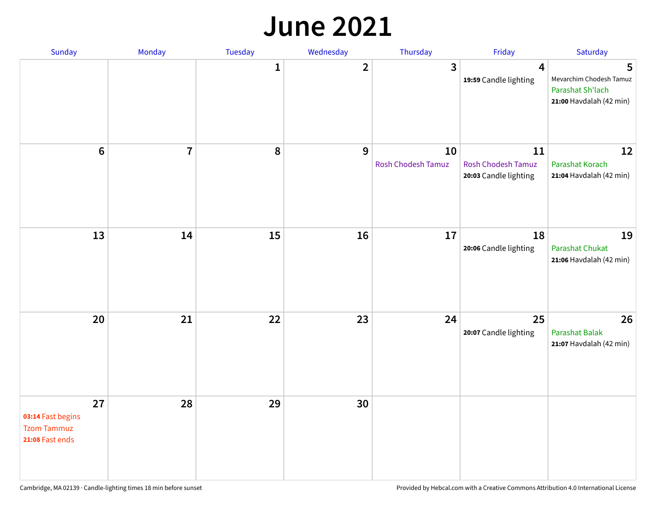#### **June 2021**

| Sunday                                                           | Monday         | Tuesday      | Wednesday    | Thursday                        | Friday                                                   | Saturday                                                                    |
|------------------------------------------------------------------|----------------|--------------|--------------|---------------------------------|----------------------------------------------------------|-----------------------------------------------------------------------------|
|                                                                  |                | $\mathbf{1}$ | $\mathbf{2}$ | 3                               | $\overline{\mathbf{4}}$<br>19:59 Candle lighting         | 5<br>Mevarchim Chodesh Tamuz<br>Parashat Sh'lach<br>21:00 Havdalah (42 min) |
| $\boldsymbol{6}$                                                 | $\overline{7}$ | 8            | 9            | 10<br><b>Rosh Chodesh Tamuz</b> | 11<br><b>Rosh Chodesh Tamuz</b><br>20:03 Candle lighting | 12<br>Parashat Korach<br>21:04 Havdalah (42 min)                            |
| 13                                                               | 14             | 15           | 16           | 17                              | 18<br>20:06 Candle lighting                              | 19<br>Parashat Chukat<br>21:06 Havdalah (42 min)                            |
| 20                                                               | 21             | 22           | 23           | 24                              | 25<br>20:07 Candle lighting                              | 26<br><b>Parashat Balak</b><br>21:07 Havdalah (42 min)                      |
| 27<br>03:14 Fast begins<br><b>Tzom Tammuz</b><br>21:08 Fast ends | 28             | 29           | 30           |                                 |                                                          |                                                                             |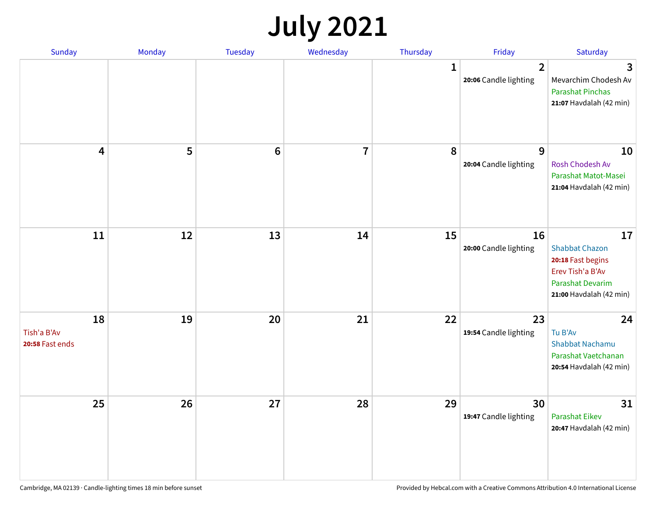# **July 2021**

| <b>Sunday</b>                        | Monday | <b>Tuesday</b> | Wednesday | Thursday     | Friday                                  | Saturday                                                                                                                   |
|--------------------------------------|--------|----------------|-----------|--------------|-----------------------------------------|----------------------------------------------------------------------------------------------------------------------------|
|                                      |        |                |           | $\mathbf{1}$ | $\overline{2}$<br>20:06 Candle lighting | 3<br>Mevarchim Chodesh Av<br><b>Parashat Pinchas</b><br>21:07 Havdalah (42 min)                                            |
| 4                                    | 5      | $\bf 6$        | 7         | 8            | 9<br>20:04 Candle lighting              | 10<br>Rosh Chodesh Av<br>Parashat Matot-Masei<br>21:04 Havdalah (42 min)                                                   |
| 11                                   | 12     | 13             | 14        | 15           | 16<br>20:00 Candle lighting             | 17<br><b>Shabbat Chazon</b><br>20:18 Fast begins<br>Erev Tish'a B'Av<br><b>Parashat Devarim</b><br>21:00 Havdalah (42 min) |
| 18<br>Tish'a B'Av<br>20:58 Fast ends | 19     | 20             | 21        | 22           | 23<br>19:54 Candle lighting             | 24<br>Tu B'Av<br>Shabbat Nachamu<br>Parashat Vaetchanan<br>20:54 Havdalah (42 min)                                         |
| 25                                   | 26     | 27             | 28        | 29           | 30<br>19:47 Candle lighting             | 31<br><b>Parashat Eikev</b><br>20:47 Havdalah (42 min)                                                                     |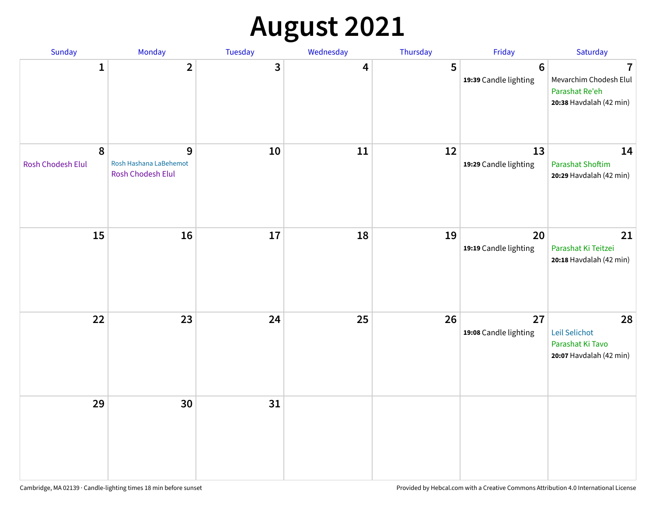# **August 2021**

| Sunday                        | Monday                                           | Tuesday | Wednesday | Thursday | Friday                                  | Saturday                                                                              |
|-------------------------------|--------------------------------------------------|---------|-----------|----------|-----------------------------------------|---------------------------------------------------------------------------------------|
| $\mathbf{1}$                  | $\overline{2}$                                   | 3       | 4         | 5        | $6\phantom{1}$<br>19:39 Candle lighting | $\overline{7}$<br>Mevarchim Chodesh Elul<br>Parashat Re'eh<br>20:38 Havdalah (42 min) |
| 8<br><b>Rosh Chodesh Elul</b> | 9<br>Rosh Hashana LaBehemot<br>Rosh Chodesh Elul | 10      | 11        | 12       | 13<br>19:29 Candle lighting             | 14<br><b>Parashat Shoftim</b><br>20:29 Havdalah (42 min)                              |
| 15                            | 16                                               | 17      | 18        | 19       | 20<br>19:19 Candle lighting             | 21<br>Parashat Ki Teitzei<br>20:18 Havdalah (42 min)                                  |
| 22                            | 23                                               | 24      | 25        | 26       | 27<br>19:08 Candle lighting             | 28<br>Leil Selichot<br>Parashat Ki Tavo<br>20:07 Havdalah (42 min)                    |
| 29                            | 30                                               | 31      |           |          |                                         |                                                                                       |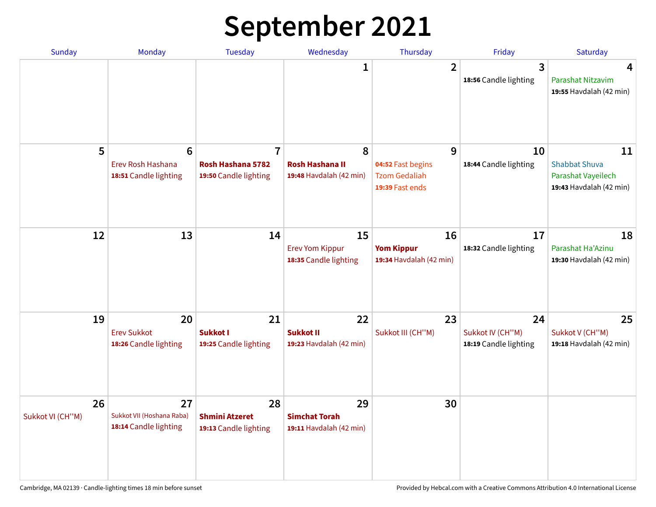# **September 2021**

| <b>Sunday</b>          | Monday                                                        | <b>Tuesday</b>                                               | Wednesday                                              | <b>Thursday</b>                                                   | Friday                                          | Saturday                                                                    |
|------------------------|---------------------------------------------------------------|--------------------------------------------------------------|--------------------------------------------------------|-------------------------------------------------------------------|-------------------------------------------------|-----------------------------------------------------------------------------|
|                        |                                                               |                                                              | 1                                                      | $\overline{2}$                                                    | 3<br>18:56 Candle lighting                      | 4<br>Parashat Nitzavim<br>19:55 Havdalah (42 min)                           |
| 5                      | $6\phantom{1}6$<br>Erev Rosh Hashana<br>18:51 Candle lighting | $\overline{7}$<br>Rosh Hashana 5782<br>19:50 Candle lighting | 8<br><b>Rosh Hashana II</b><br>19:48 Havdalah (42 min) | 9<br>04:52 Fast begins<br><b>Tzom Gedaliah</b><br>19:39 Fast ends | 10<br>18:44 Candle lighting                     | 11<br><b>Shabbat Shuva</b><br>Parashat Vayeilech<br>19:43 Havdalah (42 min) |
| 12                     | 13                                                            | 14                                                           | 15<br><b>Erev Yom Kippur</b><br>18:35 Candle lighting  | 16<br><b>Yom Kippur</b><br>19:34 Havdalah (42 min)                | 17<br>18:32 Candle lighting                     | 18<br>Parashat Ha'Azinu<br>19:30 Havdalah (42 min)                          |
| 19                     | 20<br><b>Erev Sukkot</b><br>18:26 Candle lighting             | 21<br>Sukkot I<br>19:25 Candle lighting                      | 22<br><b>Sukkot II</b><br>19:23 Havdalah (42 min)      | 23<br>Sukkot III (CH"M)                                           | 24<br>Sukkot IV (CH"M)<br>18:19 Candle lighting | 25<br>Sukkot V (CH"M)<br>19:18 Havdalah (42 min)                            |
| 26<br>Sukkot VI (CH"M) | 27<br>Sukkot VII (Hoshana Raba)<br>18:14 Candle lighting      | 28<br><b>Shmini Atzeret</b><br>19:13 Candle lighting         | 29<br><b>Simchat Torah</b><br>19:11 Havdalah (42 min)  | 30                                                                |                                                 |                                                                             |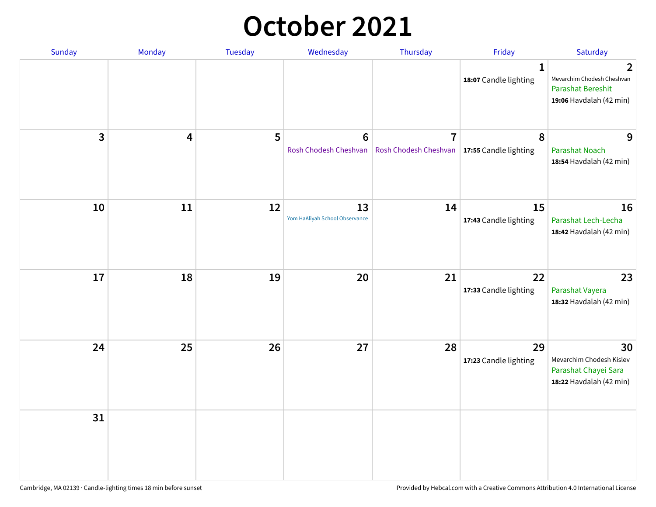### **October 2021**

| Sunday       | Monday | Tuesday | Wednesday                            | Thursday                                                        | Friday                                | Saturday                                                                                          |
|--------------|--------|---------|--------------------------------------|-----------------------------------------------------------------|---------------------------------------|---------------------------------------------------------------------------------------------------|
|              |        |         |                                      |                                                                 | $\mathbf{1}$<br>18:07 Candle lighting | $\mathbf{2}$<br>Mevarchim Chodesh Cheshvan<br><b>Parashat Bereshit</b><br>19:06 Havdalah (42 min) |
| $\mathbf{3}$ | 4      | 5       | $\bf 6$<br>Rosh Chodesh Cheshvan     | $\overline{7}$<br>Rosh Chodesh Cheshvan   17:55 Candle lighting | 8                                     | 9<br><b>Parashat Noach</b><br>18:54 Havdalah (42 min)                                             |
| 10           | 11     | 12      | 13<br>Yom HaAliyah School Observance | 14                                                              | 15<br>17:43 Candle lighting           | 16<br>Parashat Lech-Lecha<br>18:42 Havdalah (42 min)                                              |
| 17           | 18     | 19      | 20                                   | 21                                                              | 22<br>17:33 Candle lighting           | 23<br>Parashat Vayera<br>18:32 Havdalah (42 min)                                                  |
| 24           | 25     | 26      | 27                                   | 28                                                              | 29<br>17:23 Candle lighting           | 30<br>Mevarchim Chodesh Kislev<br>Parashat Chayei Sara<br>18:22 Havdalah (42 min)                 |
| 31           |        |         |                                      |                                                                 |                                       |                                                                                                   |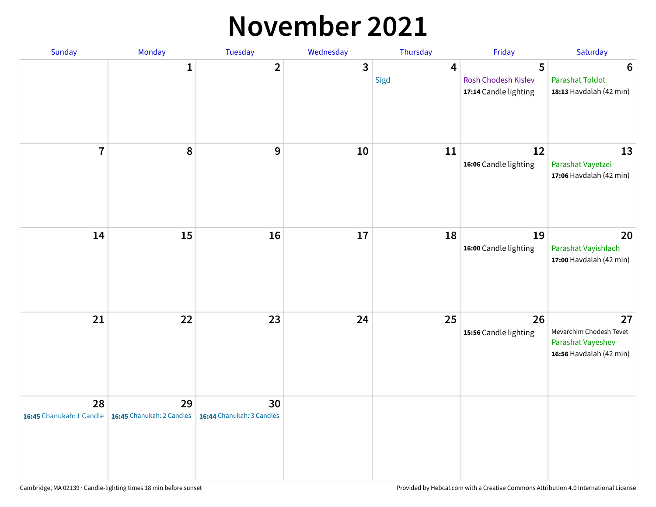#### **November 2021**

| Sunday         | Monday                                                     | Tuesday                         | Wednesday    | Thursday               | Friday                                            | Saturday                                                                      |
|----------------|------------------------------------------------------------|---------------------------------|--------------|------------------------|---------------------------------------------------|-------------------------------------------------------------------------------|
|                | $\mathbf{1}$                                               | $\overline{2}$                  | $\mathbf{3}$ | $\overline{4}$<br>Sigd | 5<br>Rosh Chodesh Kislev<br>17:14 Candle lighting | $6\phantom{1}6$<br><b>Parashat Toldot</b><br>18:13 Havdalah (42 min)          |
| $\overline{7}$ | 8                                                          | 9                               | 10           | 11                     | 12<br>16:06 Candle lighting                       | 13<br>Parashat Vayetzei<br>17:06 Havdalah (42 min)                            |
| 14             | 15                                                         | 16                              | 17           | 18                     | 19<br>16:00 Candle lighting                       | 20<br>Parashat Vayishlach<br>17:00 Havdalah (42 min)                          |
| 21             | 22                                                         | 23                              | 24           | 25                     | 26<br>15:56 Candle lighting                       | 27<br>Mevarchim Chodesh Tevet<br>Parashat Vayeshev<br>16:56 Havdalah (42 min) |
| 28             | 29<br>16:45 Chanukah: 1 Candle   16:45 Chanukah: 2 Candles | 30<br>16:44 Chanukah: 3 Candles |              |                        |                                                   |                                                                               |